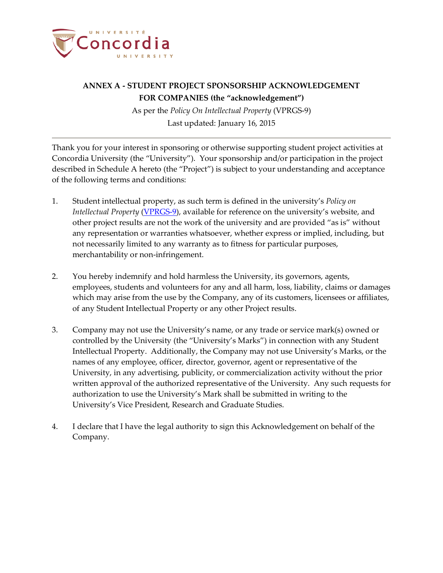

# **ANNEX A - STUDENT PROJECT SPONSORSHIP ACKNOWLEDGEMENT FOR COMPANIES (the "acknowledgement")**

As per the *Policy On Intellectual Property* (VPRGS-9) Last updated: January 16, 2015

Thank you for your interest in sponsoring or otherwise supporting student project activities at Concordia University (the "University"). Your sponsorship and/or participation in the project described in Schedule A hereto (the "Project") is subject to your understanding and acceptance of the following terms and conditions:

- 1. Student intellectual property, as such term is defined in the university's *Policy on Intellectual Property* [\(VPRGS-9\)](http://www.concordia.ca/content/dam/common/docs/policies/official-policies/VPRGS-9.pdf), available for reference on the university's website, and other project results are not the work of the university and are provided "as is" without any representation or warranties whatsoever, whether express or implied, including, but not necessarily limited to any warranty as to fitness for particular purposes, merchantability or non-infringement.
- 2. You hereby indemnify and hold harmless the University, its governors, agents, employees, students and volunteers for any and all harm, loss, liability, claims or damages which may arise from the use by the Company, any of its customers, licensees or affiliates, of any Student Intellectual Property or any other Project results.
- 3. Company may not use the University's name, or any trade or service mark(s) owned or controlled by the University (the "University's Marks") in connection with any Student Intellectual Property. Additionally, the Company may not use University's Marks, or the names of any employee, officer, director, governor, agent or representative of the University, in any advertising, publicity, or commercialization activity without the prior written approval of the authorized representative of the University. Any such requests for authorization to use the University's Mark shall be submitted in writing to the University's Vice President, Research and Graduate Studies.
- 4. I declare that I have the legal authority to sign this Acknowledgement on behalf of the Company.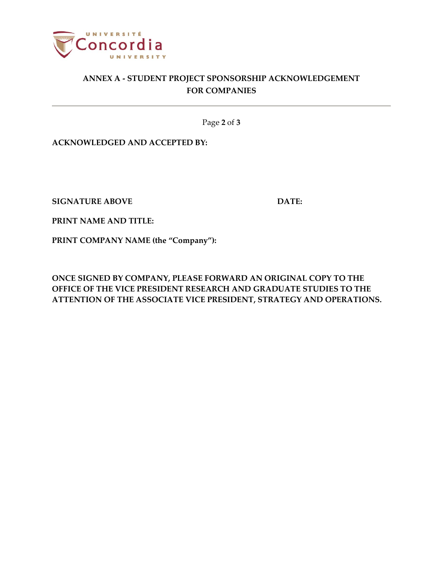

# **ANNEX A - STUDENT PROJECT SPONSORSHIP ACKNOWLEDGEMENT FOR COMPANIES**

Page **2** of **3**

**ACKNOWLEDGED AND ACCEPTED BY:**

**SIGNATURE ABOVE DATE:** 

**PRINT NAME AND TITLE:**

**PRINT COMPANY NAME (the "Company"):** 

**ONCE SIGNED BY COMPANY, PLEASE FORWARD AN ORIGINAL COPY TO THE OFFICE OF THE VICE PRESIDENT RESEARCH AND GRADUATE STUDIES TO THE ATTENTION OF THE ASSOCIATE VICE PRESIDENT, STRATEGY AND OPERATIONS.**